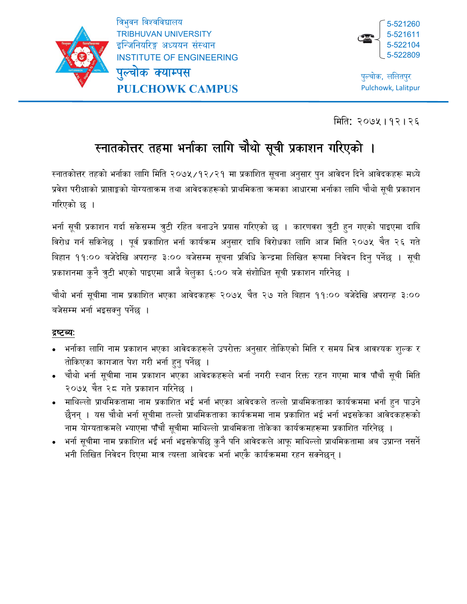

ł

त्रिभुवन विश्वविद्यालय

TRIBHUVAN UNIVERSITY इन्जिनियरिङ्ग अध्ययन संस्थान

पुल्चोक क्याम्पस

INSTITUTE OF ENGINEERING

**PULCHOWK CAMPUS**



पुल्चोक, ललितपुर Pulchowk, Lalitpur

िमित: २०७५।१२।2<sup>६</sup>

# स्नातकोत्तर तहमा भर्नाका लागि चौथो सूची प्रकाशन गरिएको ।

रनातकोत्तर तहको भर्नाका लागि मिति २०७५/१२/२१ मा प्रकाशित सूचना अनुसार पुन आवेदन दिने आवेदकहरू मध्ये प्रवेश परीक्षाको प्राप्ताङ्को योग्यताकम तथा आवेदकहरूको प्राथमिकता कमका आधारमा भर्नाका लागि चौथो सूची प्रकाशन गिरएको छ ।

भर्ना सूची प्रकाशन गर्दा सकेसम्म त्रुटी रहित बनाउने प्रयास गरिएको छ । कारणवश त्रुटी हुन गएको पाइएमा दाबि विरोध गर्न सकिनेछ । पूर्व प्रकाशित भर्ना कार्यक्रम अनुसार दाबि विरोधका लागि आज मिति २०७५ चैत २६ गते बिहान ११:०० बजेदेखि अपरान्ह ३:०० बजेसम्म सूचना प्रविधि केन्द्रमा लिखित रूपमा निवेदन दिनु पर्नेछ । सूची प्रकाशनमा कुनै त्रुटी भएको पाइएमा आजै बेलुका ६:०० बजे संशोधित सूची प्रकाशन गरिनेछ ।

चौथो भर्ना सूचीमा नाम प्रकाशित भएका आवेदकहरू २०७५ चैत २७ गते बिहान ११:०० बजेदेखि अपरान्ह ३:०० बजेसम्म भर्ना भइसक्नु पर्नेछ ।

## द्रष्टव्यः

- भर्नाका लागि नाम प्रकाशन भएका आवेदकहरूले उपरोक्त अनुसार तोकिएको मिति र समय भित्र आवश्यक शुल्क र तोकिएका कागजात पेश गरी भर्ना हुनु पर्नेछ ।
- चौथो भर्ना सूचीमा नाम प्रकाशन भएका आवेदकहरूले भर्ना नगरी स्थान रिक्त रहन गएमा मात्र पाँचौ सूची मिति २०७५ चैत २८ गते प्रकाशन गरिनेछ ।
- ामाथिल्लो प्राथमिकतामा नाम प्रकाशित भई भर्ना भएका आवेदकले तल्लो प्राथमिकताका कार्यक्रममा भर्ना हुन पाउने छैनन् । यस चौथो भर्ना सूचीमा तल्लो प्राथमिकताका कार्यक्रममा नाम प्रकाशित भई भर्ना भइसकेका आवेदकहरूको नाम योग्यताकमले भ्याएमा पाँचौं सूचीमा माथिल्लो प्राथमिकता तोकेका कार्यक्रमहरूमा प्रकाशित गरिनेछ ।
- भर्ना सूचीमा नाम प्रकाशित भई भर्ना भइसकेपछि कुनै पनि आवेदकले आफू माथिल्लो प्राथमिकतामा अब उप्रान्त नसर्ने भनी लिखित निवेदन दिएमा मात्र त्यस्ता आवेदक भर्ना भएकै कार्यक्रममा रहन सक्नेछन् ।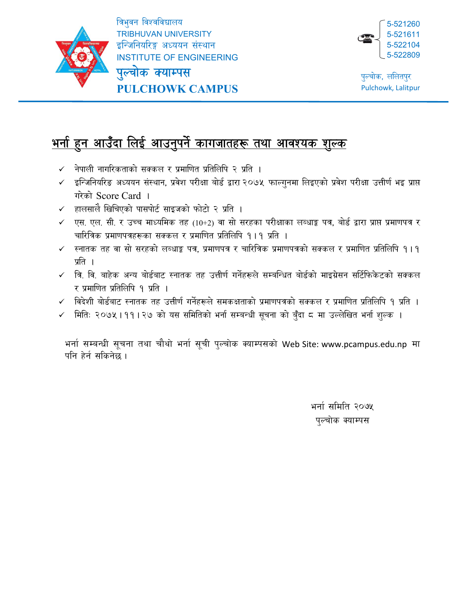

ł

त्रिभुवन विश्वविद्यालय TRIBHUVAN UNIVERSITY इन्जिनियरिङ्ग अध्ययन संस्थान INSTITUTE OF ENGINEERING



पुल्चोक क्याम्पस **PULCHOWK CAMPUS**

#### <u>भनो हुन आउँदा लिई आउनुपर्न कागजातहरू तथा आवश्यक शुल्क</u> ु ु

- $\checkmark$  नेपाली नागरिकताको सक्कल र प्रमाणित प्रतिलिपि २ प्रति ।
- $\checkmark$  इन्जिनियरिङ अध्ययन संस्थान, प्रवेश परीक्षा बोर्ड द्वारा २०७५ फाल्गुनमा लिइएको प्रवेश परीक्षा उत्तीर्ण भइ प्राप्त गरेको Score Card ।
- $\checkmark$  हालसालै खिचिएको पासपोर्ट साइजको फोटो २ प्रति ।
- $\checkmark$  एस. एल. सी. र उच्च माध्यमिक तह (10+2) वा सो सरहका परीक्षाका लब्धाङ्क पत्र, बोर्ड द्वारा प्राप्त प्रमाणपत्र र चारित्रिक प्रमाणपत्रहरूका सक्कल र प्रमाणित प्रतिलिपि १।१ प्रति ।
- $\checkmark$  स्नातक तह वा सो सरहको लब्धाङ्क पत्र, प्रमाणपत्र र चारित्रिक प्रमाणपत्रको सक्कल र प्रमाणित प्रतिलिपि १।१ प्रति ।
- $\checkmark$  त्रि. वि. बाहेक अन्य बोर्डबाट स्नातक तह उत्तीर्ण गर्नेहरूले सम्बन्धित बोर्डको माइग्रेसन सर्टिफिकेटको सक्कल र प्रमाणित प्रतिलिपि १ प्रति ।
- $\checkmark$  विदेशी बोर्डबाट स्नातक तह उत्तीर्ण गर्नेहरूले समकक्षताको प्रमाणपत्रको सक्कल र प्रमाणित प्रतिलिपि १ प्रति ।
- ✔ । मितिः २०७५।११।२७ को यस समितिको भनो सम्बन्धी सूचना को बुँदा द मा उल्लेखित भनो शुल्क ।

भर्ना सम्बन्धी सूचना तथा चौथो भर्ना सूची पुल्चोक क्याम्पसको Web Site: www.pcampus.edu.np मा पनि हेर्न सकिनेछ ।

> भर्ना समिति २०७५ पुल्चोक क्याम्पस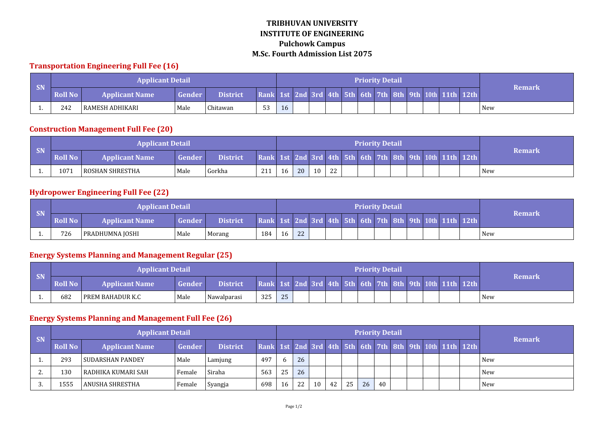### **TRIBHUVAN UNIVERSITY INSTITUTE OF ENGINEERING Pulchowk Campus M.Sc. Fourth Admission List 2075**

#### **Transportation Engineering Full Fee (16)**

|                   |                | <b>Applicant Detail</b> |               |                 |                                                         |    |  |  | <b>Priority Detail</b> |  |  |            |
|-------------------|----------------|-------------------------|---------------|-----------------|---------------------------------------------------------|----|--|--|------------------------|--|--|------------|
| $\blacksquare$ SN | <b>Roll No</b> | <b>Applicant Name</b>   | <b>Gender</b> | <b>District</b> | Rank 1st 2nd 3rd 4th 5th 6th 7th 8th 9th 10th 11th 12th |    |  |  |                        |  |  | Remark     |
|                   | 242            | I RAMESH ADHIKARI       | Male          | Chitawan        | 53                                                      | 16 |  |  |                        |  |  | <b>New</b> |

#### **Construction Management Full Fee (20)**

|    |                | <b>Applicant Detail</b> |        |                 |                                                         |    |    |    |    |  | <b>Priority Detail</b> |  |  |        |
|----|----------------|-------------------------|--------|-----------------|---------------------------------------------------------|----|----|----|----|--|------------------------|--|--|--------|
| SN | <b>Roll No</b> | <b>Applicant Name</b>   | Gender | <b>District</b> | Rank 1st 2nd 3rd 4th 5th 6th 7th 8th 9th 10th 11th 12th |    |    |    |    |  |                        |  |  | Remark |
| .  | 1071           | I ROSHAN SHRESTHA       | Male   | Gorkha          | 211                                                     | 16 | 20 | 10 | 22 |  |                        |  |  | New    |

#### **Hydropower Engineering Full Fee (22)**

|           |                | <b>Applicant Detail</b> |        |                 |                                                         |    |    |  |  | <b>Priority Detail</b> |  |  |               |
|-----------|----------------|-------------------------|--------|-----------------|---------------------------------------------------------|----|----|--|--|------------------------|--|--|---------------|
| <b>SN</b> | <b>Roll No</b> | <b>Applicant Name</b>   | Gender | <b>District</b> | Rank 1st 2nd 3rd 4th 5th 6th 7th 8th 9th 10th 11th 12th |    |    |  |  |                        |  |  | <b>Remark</b> |
|           | 726            | PRADHUMNA JOSHI         | Male   | Morang          | 184                                                     | 16 | 22 |  |  |                        |  |  | New           |

#### **Energy Systems Planning and Management Regular (25)**

|           |                | <b>Applicant Detail</b> |        |                 |     |    |  |  | <b>Priority Detail</b> |  |  |                                                         |               |
|-----------|----------------|-------------------------|--------|-----------------|-----|----|--|--|------------------------|--|--|---------------------------------------------------------|---------------|
| <b>SN</b> | <b>Roll No</b> | <b>Applicant Name</b>   | Gender | <b>District</b> |     |    |  |  |                        |  |  | Rank 1st 2nd 3rd 4th 5th 6th 7th 8th 9th 10th 11th 12th | <b>Remark</b> |
|           | 682            | l PREM BAHADUR K.C      | Male   | Nawalparasi     | 325 | つに |  |  |                        |  |  |                                                         | <b>New</b>    |

### **Energy Systems Planning and Management Full Fee (26)**

| <b>SN</b> |         | <b>Applicant Detail</b> |        |                 |                                                         |    |    |    |    |    |    | <b>Priority Detail</b> |  |  | <b>Remark</b> |
|-----------|---------|-------------------------|--------|-----------------|---------------------------------------------------------|----|----|----|----|----|----|------------------------|--|--|---------------|
|           | Roll No | <b>Applicant Name</b>   | Gender | <b>District</b> | Rank 1st 2nd 3rd 4th 5th 6th 7th 8th 9th 10th 11th 12th |    |    |    |    |    |    |                        |  |  |               |
|           | 293     | I SUDARSHAN PANDEY      | Male   | Lamjung         | 497                                                     |    | 26 |    |    |    |    |                        |  |  | l New         |
| <u>.</u>  | .30     | I RADHIKA KUMARI SAH    | Female | Siraha          | 563                                                     | 25 | 26 |    |    |    |    |                        |  |  | l New         |
|           | 1555    | ANUSHA SHRESTHA         | Female | Syangja         | 698                                                     | 16 | 22 | 10 | 42 | 25 | 26 | 40                     |  |  | New           |